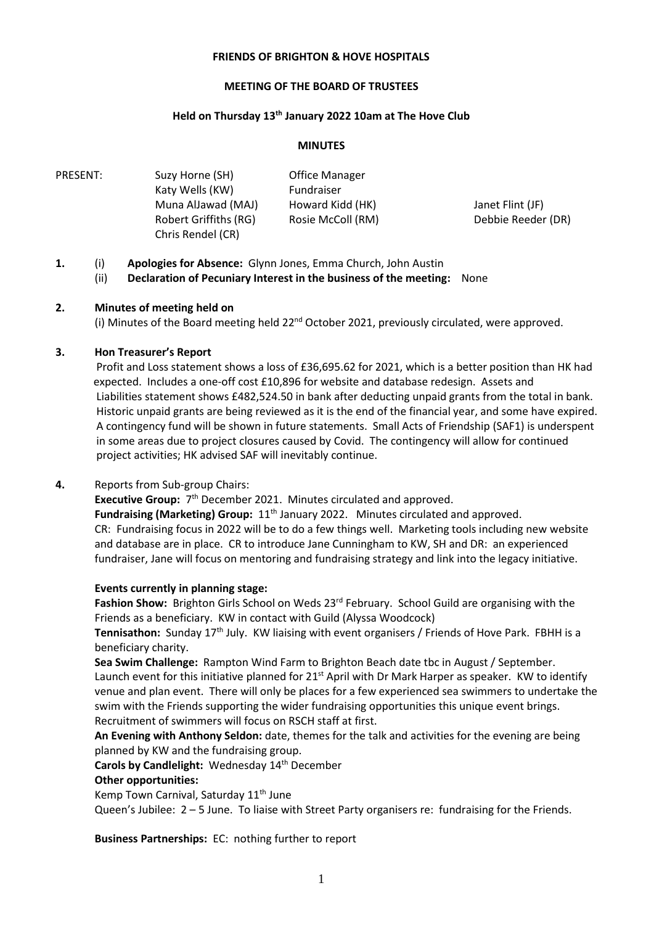### **FRIENDS OF BRIGHTON & HOVE HOSPITALS**

### **MEETING OF THE BOARD OF TRUSTEES**

# **Held on Thursday 13th January 2022 10am at The Hove Club**

### **MINUTES**

| PRESENT: | Suzy Horne (SH)       | <b>Office Manager</b> |                    |
|----------|-----------------------|-----------------------|--------------------|
|          | Katy Wells (KW)       | Fundraiser            |                    |
|          | Muna AlJawad (MAJ)    | Howard Kidd (HK)      | Janet Flint (JF)   |
|          | Robert Griffiths (RG) | Rosie McColl (RM)     | Debbie Reeder (DR) |
|          | Chris Rendel (CR)     |                       |                    |

- **1.** (i) **Apologies for Absence:** Glynn Jones, Emma Church, John Austin
	- (ii) **Declaration of Pecuniary Interest in the business of the meeting:** None

## **2. Minutes of meeting held on**

(i) Minutes of the Board meeting held 22<sup>nd</sup> October 2021, previously circulated, were approved.

### **3. Hon Treasurer's Report**

Profit and Loss statement shows a loss of £36,695.62 for 2021, which is a better position than HK had expected. Includes a one-off cost £10,896 for website and database redesign. Assets and Liabilities statement shows £482,524.50 in bank after deducting unpaid grants from the total in bank. Historic unpaid grants are being reviewed as it is the end of the financial year, and some have expired. A contingency fund will be shown in future statements. Small Acts of Friendship (SAF1) is underspent in some areas due to project closures caused by Covid. The contingency will allow for continued project activities; HK advised SAF will inevitably continue.

## **4.** Reports from Sub-group Chairs:

Executive Group: 7<sup>th</sup> December 2021. Minutes circulated and approved. **Fundraising (Marketing) Group:** 11th January 2022. Minutes circulated and approved. CR: Fundraising focus in 2022 will be to do a few things well. Marketing tools including new website and database are in place. CR to introduce Jane Cunningham to KW, SH and DR: an experienced

fundraiser, Jane will focus on mentoring and fundraising strategy and link into the legacy initiative.

#### **Events currently in planning stage:**

Fashion Show: Brighton Girls School on Weds 23<sup>rd</sup> February. School Guild are organising with the Friends as a beneficiary. KW in contact with Guild (Alyssa Woodcock)

**Tennisathon:** Sunday 17th July. KW liaising with event organisers / Friends of Hove Park. FBHH is a beneficiary charity.

**Sea Swim Challenge:** Rampton Wind Farm to Brighton Beach date tbc in August / September. Launch event for this initiative planned for  $21<sup>st</sup>$  April with Dr Mark Harper as speaker. KW to identify venue and plan event. There will only be places for a few experienced sea swimmers to undertake the swim with the Friends supporting the wider fundraising opportunities this unique event brings. Recruitment of swimmers will focus on RSCH staff at first.

**An Evening with Anthony Seldon:** date, themes for the talk and activities for the evening are being planned by KW and the fundraising group.

Carols by Candlelight: Wednesday 14<sup>th</sup> December

## **Other opportunities:**

Kemp Town Carnival, Saturday 11<sup>th</sup> June Queen's Jubilee: 2 – 5 June. To liaise with Street Party organisers re: fundraising for the Friends.

**Business Partnerships:** EC: nothing further to report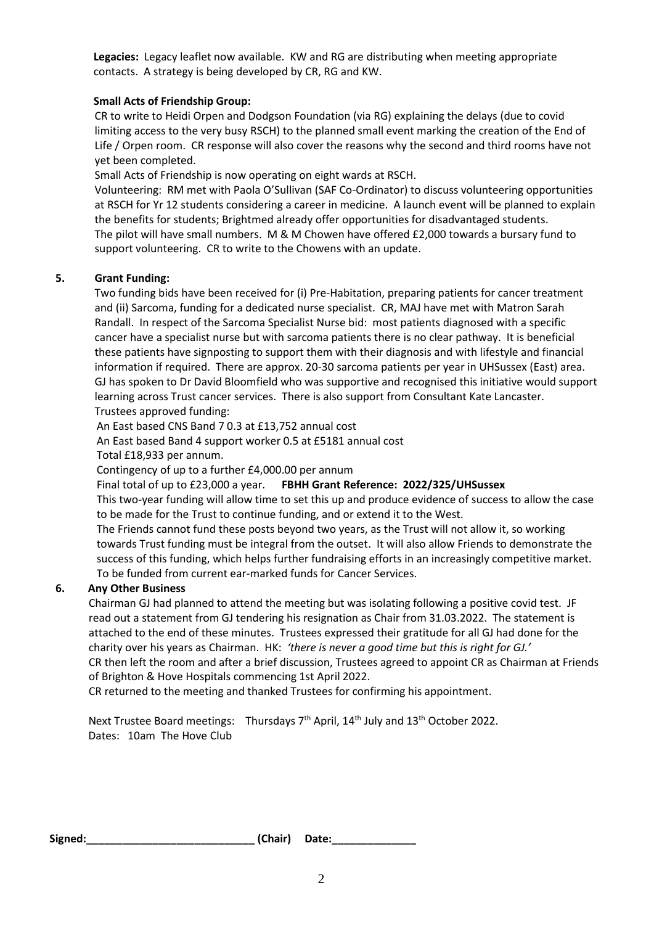**Legacies:** Legacy leaflet now available. KW and RG are distributing when meeting appropriate contacts. A strategy is being developed by CR, RG and KW.

# **Small Acts of Friendship Group:**

CR to write to Heidi Orpen and Dodgson Foundation (via RG) explaining the delays (due to covid limiting access to the very busy RSCH) to the planned small event marking the creation of the End of Life / Orpen room. CR response will also cover the reasons why the second and third rooms have not yet been completed.

Small Acts of Friendship is now operating on eight wards at RSCH.

Volunteering: RM met with Paola O'Sullivan (SAF Co-Ordinator) to discuss volunteering opportunities at RSCH for Yr 12 students considering a career in medicine. A launch event will be planned to explain the benefits for students; Brightmed already offer opportunities for disadvantaged students. The pilot will have small numbers. M & M Chowen have offered  $£2,000$  towards a bursary fund to support volunteering. CR to write to the Chowens with an update.

# **5. Grant Funding:**

Two funding bids have been received for (i) Pre-Habitation, preparing patients for cancer treatment and (ii) Sarcoma, funding for a dedicated nurse specialist. CR, MAJ have met with Matron Sarah Randall. In respect of the Sarcoma Specialist Nurse bid: most patients diagnosed with a specific cancer have a specialist nurse but with sarcoma patients there is no clear pathway. It is beneficial these patients have signposting to support them with their diagnosis and with lifestyle and financial information if required. There are approx. 20-30 sarcoma patients per year in UHSussex (East) area. GJ has spoken to Dr David Bloomfield who was supportive and recognised this initiative would support learning across Trust cancer services. There is also support from Consultant Kate Lancaster. Trustees approved funding:

An East based CNS Band 7 0.3 at £13,752 annual cost

An East based Band 4 support worker 0.5 at £5181 annual cost

Total £18,933 per annum.

Contingency of up to a further £4,000.00 per annum

Final total of up to £23,000 a year. **FBHH Grant Reference: 2022/325/UHSussex**

This two-year funding will allow time to set this up and produce evidence of success to allow the case to be made for the Trust to continue funding, and or extend it to the West.

The Friends cannot fund these posts beyond two years, as the Trust will not allow it, so working towards Trust funding must be integral from the outset. It will also allow Friends to demonstrate the success of this funding, which helps further fundraising efforts in an increasingly competitive market. To be funded from current ear-marked funds for Cancer Services.

# **6. Any Other Business**

Chairman GJ had planned to attend the meeting but was isolating following a positive covid test. JF read out a statement from GJ tendering his resignation as Chair from 31.03.2022. The statement is attached to the end of these minutes. Trustees expressed their gratitude for all GJ had done for the charity over his years as Chairman. HK: *'there is never a good time but this is right for GJ.'* CR then left the room and after a brief discussion, Trustees agreed to appoint CR as Chairman at Friends of Brighton & Hove Hospitals commencing 1st April 2022.

CR returned to the meeting and thanked Trustees for confirming his appointment.

Next Trustee Board meetings: Thursdays 7<sup>th</sup> April, 14<sup>th</sup> July and 13<sup>th</sup> October 2022. Dates: 10am The Hove Club

| Signed: | (Chair) | Date: |
|---------|---------|-------|
|---------|---------|-------|